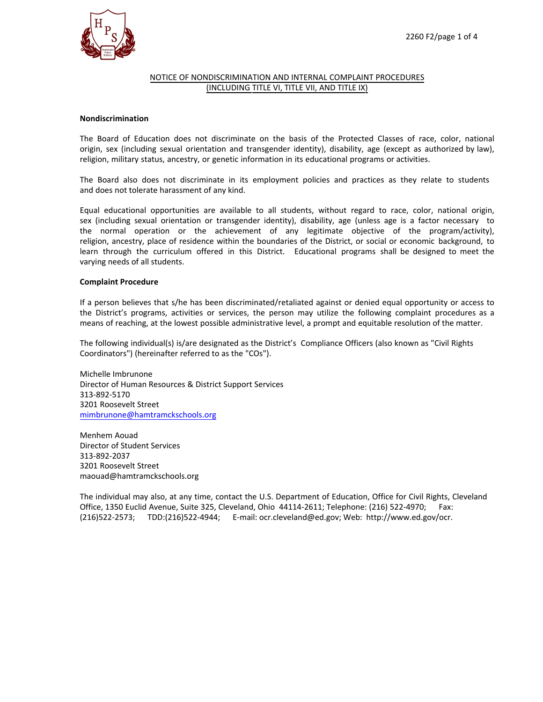

# NOTICE OF NONDISCRIMINATION AND INTERNAL COMPLAINT PROCEDURES (INCLUDING TITLE VI, TITLE VII, AND TITLE IX)

# **Nondiscrimination**

The Board of Education does not discriminate on the basis of the Protected Classes of race, color, national origin, sex (including sexual orientation and transgender identity), disability, age (except as authorized by law), religion, military status, ancestry, or genetic information in its educational programs or activities.

The Board also does not discriminate in its employment policies and practices as they relate to students and does not tolerate harassment of any kind.

Equal educational opportunities are available to all students, without regard to race, color, national origin, sex (including sexual orientation or transgender identity), disability, age (unless age is a factor necessary to the normal operation or the achievement of any legitimate objective of the program/activity), religion, ancestry, place of residence within the boundaries of the District, or social or economic background, to learn through the curriculum offered in this District. Educational programs shall be designed to meet the varying needs of all students.

## **Complaint Procedure**

If a person believes that s/he has been discriminated/retaliated against or denied equal opportunity or access to the District's programs, activities or services, the person may utilize the following complaint procedures as a means of reaching, at the lowest possible administrative level, a prompt and equitable resolution of the matter.

The following individual(s) is/are designated as the District's Compliance Officers (also known as "Civil Rights Coordinators") (hereinafter referred to as the "COs").

Michelle Imbrunone Director of Human Resources & District Support Services 313-892-5170 3201 Roosevelt Street mimbrunone@hamtramckschools.org

[Menhem Aouad](mailto:mimbrunone@hamtramckschools.org)  Director of Student Services 313-892-2037 3201 Roosevelt Street maouad@hamtramckschools.org

The individual may also, at any time, contact the U.S. Department of Education, Office for Civil Rights, Cleveland Office, 1350 Euclid Avenue, Suite 325, Cleveland, Ohio 44114-2611; Telephone: (216) 522-4970; Fax: (216)522-2573; TDD:(216)522-4944; E-mail: ocr.cleveland@ed.gov; Web: http://www.ed.gov/ocr.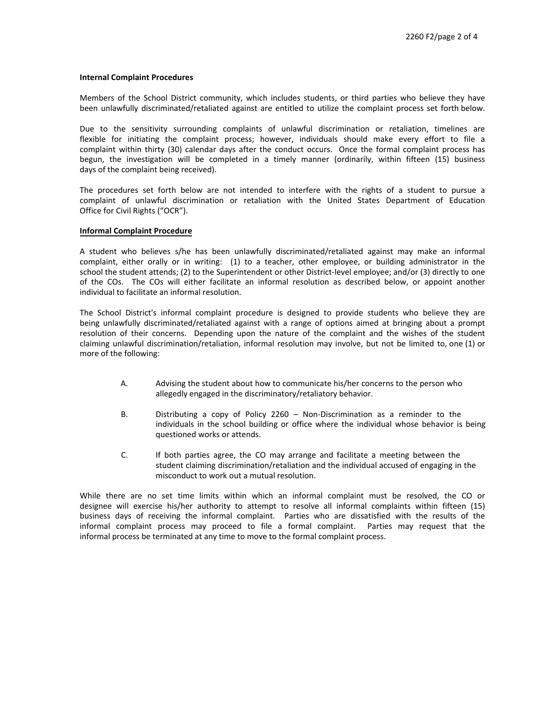#### **Internal Complaint Procedures**

Members of the School District community, which includes students, or third parties who believe they have been unlawfully discriminated/retaliated against are entitled to utilize the complaint process set forth below.

Due to the sensitivity surrounding complaints of unlawful discrimination or retaliation, timelines are flexible for initiating the complaint process; however, individuals should make every effort to file a complaint within thirty (30) calendar days after the conduct occurs. Once the formal complaint process has begun, the investigation will be completed in a timely manner (ordinarily, within fifteen (15) business days of the complaint being received).

The procedures set forth below are not intended to interfere with the rights of a student to pursue a complaint of unlawful discrimination or retaliation with the United States Department of Education Office for Civil Rights ("OCR").

## **Informal Complaint Procedure**

A student who believes s/he has been unlawfully discriminated/retaliated against may make an informal complaint, either orally or in writing: (1) to a teacher, other employee, or building administrator in the school the student attends; (2) to the Superintendent or other District-level employee; and/or (3) directly to one of the COs. The COs will either facilitate an informal resolution as described below, or appoint another individual to facilitate an informal resolution.

The School District's informal complaint procedure is designed to provide students who believe they are being unlawfully discriminated/retaliated against with a range of options aimed at bringing about a prompt resolution of their concerns. Depending upon the nature of the complaint and the wishes of the student claiming unlawful discrimination/retaliation, informal resolution may involve, but not be limited to, one (1) or more of the following:

- A. Advising the student about how to communicate his/her concerns to the person who allegedly engaged in the discriminatory/retaliatory behavior.
- B. Distributing a copy of Policy 2260 Non-Discrimination as a reminder to the individuals in the school building or office where the individual whose behavior is being questioned works or attends.
- C. If both parties agree, the CO may arrange and facilitate a meeting between the student claiming discrimination/retaliation and the individual accused of engaging in the misconduct to work out a mutual resolution.

While there are no set time limits within which an informal complaint must be resolved, the CO or designee will exercise his/her authority to attempt to resolve all informal complaints within fifteen (15) business days of receiving the informal complaint. Parties who are dissatisfied with the results of the informal complaint process may proceed to file a formal complaint. Parties may request that the informal process be terminated at any time to move to the formal complaint process.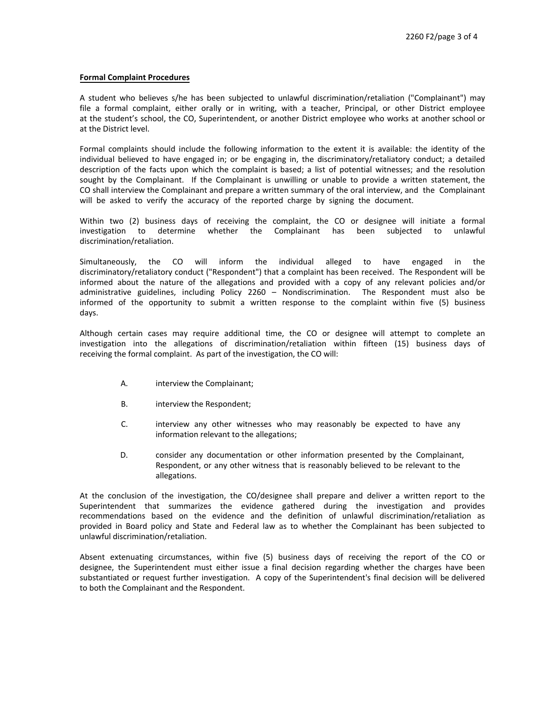## **Formal Complaint Procedures**

A student who believes s/he has been subjected to unlawful discrimination/retaliation ("Complainant") may file a formal complaint, either orally or in writing, with a teacher, Principal, or other District employee at the student's school, the CO, Superintendent, or another District employee who works at another school or at the District level.

Formal complaints should include the following information to the extent it is available: the identity of the individual believed to have engaged in; or be engaging in, the discriminatory/retaliatory conduct; a detailed description of the facts upon which the complaint is based; a list of potential witnesses; and the resolution sought by the Complainant. If the Complainant is unwilling or unable to provide a written statement, the CO shall interview the Complainant and prepare a written summary of the oral interview, and the Complainant will be asked to verify the accuracy of the reported charge by signing the document.

Within two (2) business days of receiving the complaint, the CO or designee will initiate a formal investigation to determine whether the Complainant has been subjected to unlawful discrimination/retaliation.

Simultaneously, the CO will inform the individual alleged to have engaged in the discriminatory/retaliatory conduct ("Respondent") that a complaint has been received. The Respondent will be informed about the nature of the allegations and provided with a copy of any relevant policies and/or administrative guidelines, including Policy 2260 – Nondiscrimination. The Respondent must also be informed of the opportunity to submit a written response to the complaint within five (5) business days.

Although certain cases may require additional time, the CO or designee will attempt to complete an investigation into the allegations of discrimination/retaliation within fifteen (15) business days of receiving the formal complaint. As part of the investigation, the CO will:

- A. interview the Complainant;
- B. interview the Respondent;
- C. interview any other witnesses who may reasonably be expected to have any information relevant to the allegations;
- D. consider any documentation or other information presented by the Complainant, Respondent, or any other witness that is reasonably believed to be relevant to the allegations.

At the conclusion of the investigation, the CO/designee shall prepare and deliver a written report to the Superintendent that summarizes the evidence gathered during the investigation and provides recommendations based on the evidence and the definition of unlawful discrimination/retaliation as provided in Board policy and State and Federal law as to whether the Complainant has been subjected to unlawful discrimination/retaliation.

Absent extenuating circumstances, within five (5) business days of receiving the report of the CO or designee, the Superintendent must either issue a final decision regarding whether the charges have been substantiated or request further investigation. A copy of the Superintendent's final decision will be delivered to both the Complainant and the Respondent.